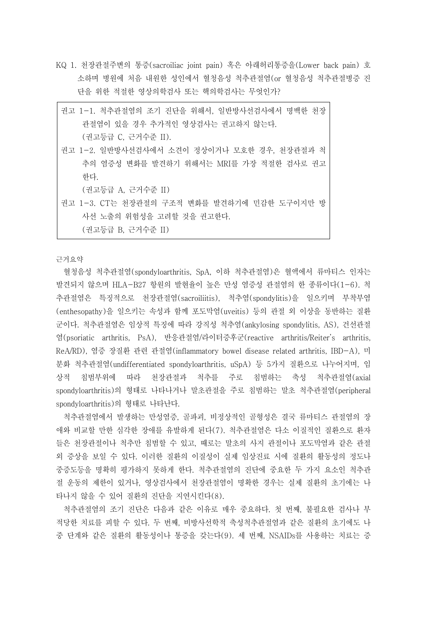KQ 1. 천장관절주변의 통증(sacroiliac joint pain) 혹은 아래허리통증을(Lower back pain) 호 소하며 병원에 처음 내원한 성인에서 혈청음성 척추관절염(or 혈청음성 척추관절병증 진 단을 위한 적절한 영상의학검사 또는 핵의학검사는 무엇인가?

| 권고 1-1. 척추관절염의 조기 진단을 위해서, 일반방사선검사에서 명백한 천장 |
|---------------------------------------------|
| 관절염이 있을 경우 추가적인 영상검사는 권고하지 않는다.             |
| (권고등급 C. 근거수준 II).                          |
| 권고 1-2. 일반방사선검사에서 소견이 정상이거나 모호한 경우, 천장관절과 척 |
| 추의 염증성 변화를 발견하기 위해서는 MRI를 가장 적절한 검사로 권고     |
| 한다.                                         |
| (권고등급 A, 근거수준 II)                           |
| 권고 1-3. CT는 천장관절의 구조적 변화를 발견하기에 민감한 도구이지만 방 |
| 사선 노출의 위험성을 고려할 것을 권고한다.                    |
| (권고등급 B, 근거수준 II)                           |

근거요약

혈청음성 척추관절염(spondyloarthritis, SpA, 이하 척추관절염)은 혈액에서 류마티스 인자는 발견되지 않으며 HLA-B27 항원의 발현율이 높은 만성 염증성 관절염의 한 종류이다(1-6). 척 추관절염은 특징적으로 천장관절염(sacroiliitis), 척추염(spondylitis)을 일으키며 부착부염 (enthesopathy)을 일으키는 속성과 함께 포도막염(uveitis) 등의 관절 외 이상을 동반하는 질환 군이다. 척추관절염은 임상적 특징에 따라 강직성 척추염(ankylosing spondylitis, AS), 건선관절 염(psoriatic arthritis, PsA), 반응관절염/라이터증후군(reactive arthritis/Reiter's arthritis, ReA/RD), 염증 장질환 관련 관절염(inflammatory bowel disease related arthritis, IBD-A), 미 분화 척추관절염(undifferentiated spondyloarthritis, uSpA) 등 5가지 질환으로 나누어지며, 임 상적 침범부위에 따라 천장관절과 척추를 주로 침범하는 축성 척추관절염(axial spondyloarthritis)의 형태로 나타나거나 말초관절을 주로 침범하는 말초 척추관절염(peripheral spondyloarthritis)의 형태로 나타난다.

척추관절염에서 발생하는 만성염증, 골파괴, 비정상적인 골형성은 결국 류마티스 관절염의 장 애와 비교할 만한 심각한 장애를 유발하게 된다(7). 척추관절염은 다소 이질적인 질환으로 환자 들은 천장관절이나 척추만 침범할 수 있고, 때로는 말초의 사지 관절이나 포도막염과 같은 관절 외 증상을 보일 수 있다. 이러한 질환의 이질성이 실제 임상진료 시에 질환의 활동성의 정도나 중증도등을 명확히 평가하지 못하게 한다. 척추관절염의 진단에 중요한 두 가지 요소인 척추관 절 운동의 제한이 있거나, 영상검사에서 천장관절염이 명확한 경우는 실제 질환의 초기에는 나 타나지 않을 수 있어 질환의 진단을 지연시킨다(8).

척추관절염의 조기 진단은 다음과 같은 이유로 매우 중요하다. 첫 번째, 불필요한 검사나 부 적당한 치료를 피할 수 있다. 두 번째, 비방사선학적 축성척추관절염과 같은 질환의 초기에도 나 중 단계와 같은 질환의 활동성이나 통증을 갖는다(9). 세 번째, NSAIDs를 사용하는 치료는 증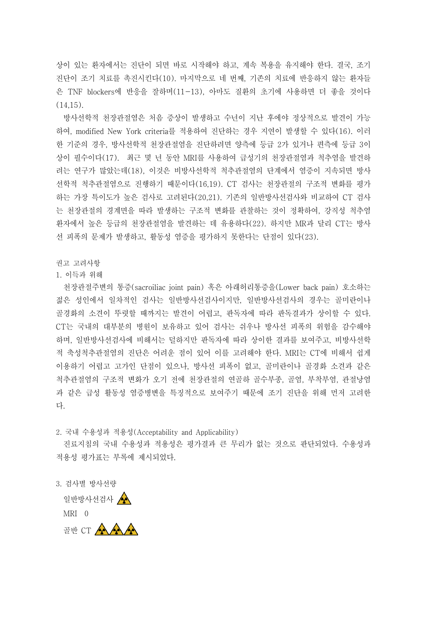상이 있는 환자에서는 진단이 되면 바로 시작해야 하고, 계속 복용을 유지해야 한다. 결국, 조기 진단이 조기 치료를 촉진시킨다(10). 마지막으로 네 번째, 기존의 치료에 반응하지 않는 환자들 은 TNF blockers에 반응을 잘하며(11-13), 아마도 질환의 초기에 사용하면 더 좋을 것이다  $(14,15)$ .

방사선학적 천장관절염은 처음 증상이 발생하고 수년이 지난 후에야 정상적으로 발견이 가능 하여, modified New York criteria를 적용하여 진단하는 경우 지연이 발생할 수 있다(16). 이러 한 기준의 경우, 방사선학적 천장관절염을 진단하려면 양측에 등급 2가 있거나 편측에 등급 3이 상이 필수이다(17). 최근 몇 년 동안 MRI를 사용하여 급성기의 천장관절염과 척추염을 발견하 려는 연구가 많았는데(18), 이것은 비방사선학적 척추관절염의 단계에서 염증이 지속되면 방사 선학적 척추관절염으로 진행하기 때문이다(16,19). CT 검사는 천장관절의 구조적 변화를 평가 하는 가장 특이도가 높은 검사로 고려된다(20,21). 기존의 일반방사선검사와 비교하여 CT 검사 는 천장관절의 경계면을 따라 발생하는 구조적 변화를 관찰하는 것이 정확하여, 강직성 척추염 환자에서 높은 등급의 천장관절염을 발견하는 데 유용하다(22). 하지만 MR과 달리 CT는 방사 선 피폭의 문제가 발생하고, 활동성 염증을 평가하지 못한다는 단점이 있다(23).

권고 고려사항

1. 이득과 위해

천장관절주변의 통증(sacroiliac joint pain) 혹은 아래허리통증을(Lower back pain) 호소하는 젊은 성인에서 일차적인 검사는 일반방사선검사이지만, 일반방사선검사의 경우는 골미란이나 골경화의 소견이 뚜렷할 때까지는 발견이 어렵고, 판독자에 따라 판독결과가 상이할 수 있다.<br>CT는 국내의 대부분의 병원이 보유하고 있어 검사는 쉬우나 방사선 피폭의 위험을 감수해야 하며, 일반방사선검사에 비해서는 덜하지만 판독자에 따라 상이한 결과를 보여주고, 비방사선학 적 축성척추관절염의 진단은 어려운 점이 있어 이를 고려해야 한다. MRI는 CT에 비해서 쉽게 이용하기 어렵고 고가인 단점이 있으나, 방사선 피폭이 없고, 골미란이나 골경화 소견과 같은 척추관절염의 구조적 변화가 오기 전에 천장관절의 연골하 골수부종, 골염, 부착부염, 관절낭염 과 같은 급성 활동성 염증병변을 특징적으로 보여주기 때문에 조기 진단을 위해 먼저 고려한 다.

2. 국내 수용성과 적용성(Acceptability and Applicability)

진료지침의 국내 수용성과 적용성은 평가결과 큰 무리가 없는 것으로 판단되었다. 수용성과 적용성 평가표는 부록에 제시되었다.

3. 검사별 방사선량

일반방사선검사 < MRI 0 골반 CT AAAA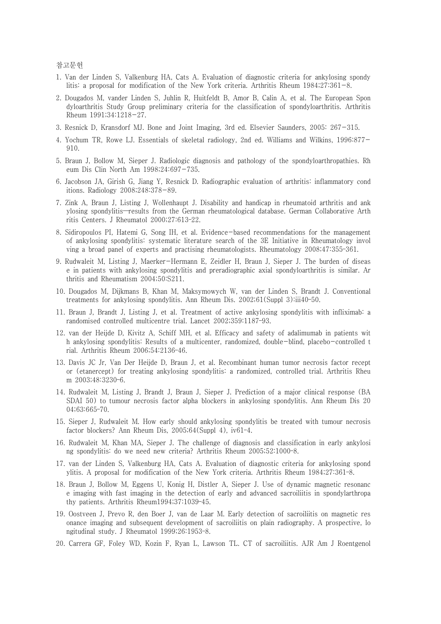참고문헌

- 1. Van der Linden S, Valkenburg HA, Cats A. Evaluation of diagnostic criteria for ankylosing spondy litis: a proposal for modification of the New York criteria. Arthritis Rheum 1984;27:361-8.
- 2. Dougados M, vander Linden S, Juhlin R, Huitfeldt B, Amor B, Calin A, et al. The European Spon dyloarthritis Study Group preliminary criteria for the classification of spondyloarthritis. Arthritis Rheum 1991;34:1218-27.
- 3. Resnick D, Kransdorf MJ. Bone and Joint Imaging, 3rd ed. Elsevier Saunders, 2005: 267-315.
- 4. Yochum TR, Rowe LJ. Essentials of skeletal radiology, 2nd ed. Williams and Wilkins, 1996:877- 910.
- 5. Braun J, Bollow M, Sieper J. Radiologic diagnosis and pathology of the spondyloarthropathies. Rh eum Dis Clin North Am 1998;24:697-735.
- 6. Jacobson JA, Girish G, Jiang Y, Resnick D. Radiographic evaluation of arthritis: inflammatory cond itions. Radiology 2008;248:378-89.
- 7. Zink A, Braun J, Listing J, Wollenhaupt J. Disability and handicap in rheumatoid arthritis and ank ylosing spondylitis—results from the German rheumatological database. German Collaborative Arth ritis Centers. J Rheumatol 2000;27:613–22.
- 8. Sidiropoulos PI, Hatemi G, Song IH, et al. Evidence-based recommendations for the management of ankylosing spondylitis: systematic literature search of the 3E Initiative in Rheumatology invol ving a broad panel of experts and practising rheumatologists. Rheumatology 2008;47:355–361.
- 9. Rudwaleit M, Listing J, Maerker-Hermann E, Zeidler H, Braun J, Sieper J. The burden of diseas e in patients with ankylosing spondylitis and preradiographic axial spondyloarthritis is similar. Ar thritis and Rheumatism 2004;50:S211.
- 10. Dougados M, Dijkmans B, Khan M, Maksymowych W, van der Linden S, Brandt J. Conventional treatments for ankylosing spondylitis. Ann Rheum Dis. 2002;61(Suppl 3):iii40–50.
- 11. Braun J, Brandt J, Listing J, et al. Treatment of active ankylosing spondylitis with infliximab: a randomised controlled multicentre trial. Lancet 2002;359:1187–93.
- 12. van der Heijde D, Kivitz A, Schiff MH, et al. Efficacy and safety of adalimumab in patients wit h ankylosing spondylitis: Results of a multicenter, randomized, double-blind, placebo-controlled t rial. Arthritis Rheum 2006;54:2136–46.
- 13. Davis JC Jr, Van Der Heijde D, Braun J, et al. Recombinant human tumor necrosis factor recept or (etanercept) for treating ankylosing spondylitis: a randomized, controlled trial. Arthritis Rheu m 2003;48:3230–6.
- 14. Rudwaleit M, Listing J, Brandt J, Braun J, Sieper J. Prediction of a major clinical response (BA SDAI 50) to tumour necrosis factor alpha blockers in ankylosing spondylitis. Ann Rheum Dis 20 04;63:665–70.
- 15. Sieper J, Rudwaleit M. How early should ankylosing spondylitis be treated with tumour necrosis factor blockers? Ann Rheum Dis, 2005;64(Suppl 4), iv61–4.
- 16. Rudwaleit M, Khan MA, Sieper J. The challenge of diagnosis and classification in early ankylosi ng spondylitis: do we need new criteria? Arthritis Rheum 2005;52:1000–8.
- 17. van der Linden S, Valkenburg HA, Cats A. Evaluation of diagnostic criteria for ankylosing spond ylitis. A proposal for modification of the New York criteria. Arthritis Rheum 1984;27:361–8.
- 18. Braun J, Bollow M, Eggens U, Konig H, Distler A, Sieper J. Use of dynamic magnetic resonanc e imaging with fast imaging in the detection of early and advanced sacroiliitis in spondylarthropa thy patients. Arthritis Rheum1994;37:1039–45.
- 19. Oostveen J, Prevo R, den Boer J, van de Laar M. Early detection of sacroiliitis on magnetic res onance imaging and subsequent development of sacroiliitis on plain radiography. A prospective, lo ngitudinal study. J Rheumatol 1999;26:1953–8.
- 20. Carrera GF, Foley WD, Kozin F, Ryan L, Lawson TL. CT of sacroiliitis. AJR Am J Roentgenol